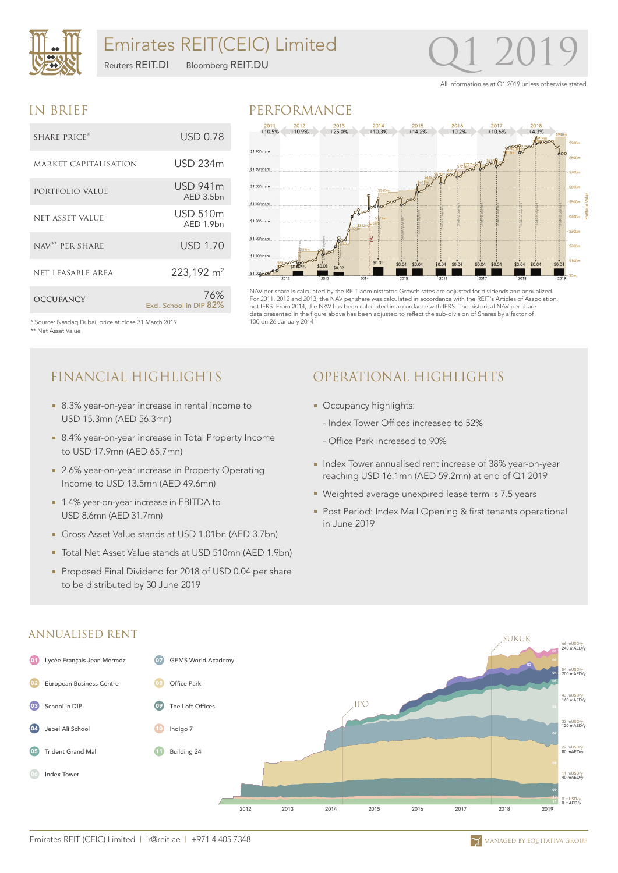

### Emirates REIT(CEIC) Limited

Reuters REIT.DI Bloomberg REIT.DU

## Q1 2019

All information as at Q1 2019 unless otherwise stated.

### IN BRIEF

| SHARE PRICE*                | USD 0.78                        |
|-----------------------------|---------------------------------|
| MARKET CAPITALISATION       | USD 234m                        |
| PORTFOLIO VALUE             | <b>USD 941m</b><br>AED 3.5bn    |
| <b>NET ASSET VALUE</b>      | <b>USD 510m</b><br>$AFD 1.9$ hn |
| NAV <sup>**</sup> PER SHARE | <b>USD 1.70</b>                 |
| NET LEASABLE AREA           | 223,192 m <sup>2</sup>          |
| <b>OCCUPANCY</b>            | 76%<br>Excl. School in DIP 82%  |





NAV per share is calculated by the REIT administrator. Growth rates are adjusted for dividends and annualized. For 2011, 2012 and 2013, the NAV per share was calculated in accordance with the REIT's Articles of Association, not IFRS. From 2014, the NAV has been calculated in accordance with IFRS. The historical NAV per share data presented in the figure above has been adjusted to reflect the sub-division of Shares by a factor of 100 on 26 January 2014

\* Source: Nasdaq Dubai, price at close 31 March 2019 \*\* Net Asset Value

- 8.3% year-on-year increase in rental income to USD 15.3mn (AED 56.3mn)
- 8.4% year-on-year increase in Total Property Income to USD 17.9mn (AED 65.7mn)
- 2.6% year-on-year increase in Property Operating Income to USD 13.5mn (AED 49.6mn)
- 1.4% year-on-year increase in EBITDA to USD 8.6mn (AED 31.7mn)
- Gross Asset Value stands at USD 1.01bn (AED 3.7bn)
- Total Net Asset Value stands at USD 510mn (AED 1.9bn)
- Proposed Final Dividend for 2018 of USD 0.04 per share to be distributed by 30 June 2019

### FINANCIAL HIGHLIGHTS OPERATIONAL HIGHLIGHTS

- **Occupancy highlights:** 
	- Index Tower Offices increased to 52%
	- Office Park increased to 90%
- **Index Tower annualised rent increase of 38% year-on-year** reaching USD 16.1mn (AED 59.2mn) at end of Q1 2019
- Weighted average unexpired lease term is 7.5 years
- **Post Period: Index Mall Opening & first tenants operational** in June 2019



#### ANNUALISED RENT